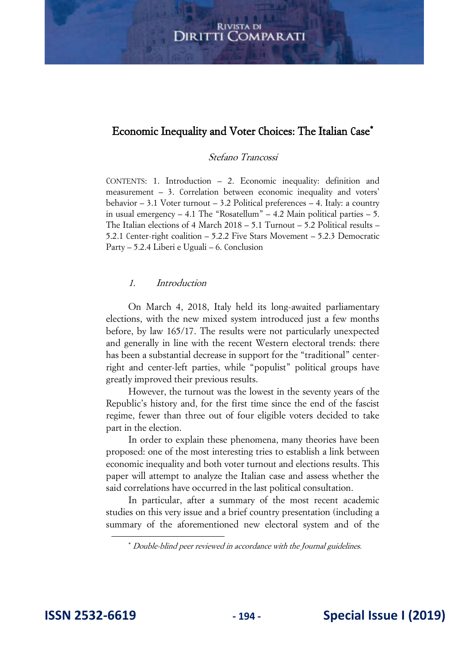## Economic Inequality and Voter Choices: The Italian Case

## Stefano Trancossi

CONTENTS: 1. Introduction – 2. Economic inequality: definition and measurement – 3. Correlation between economic inequality and voters' behavior – 3.1 Voter turnout – 3.2 Political preferences – 4. Italy: a country in usual emergency  $-4.1$  The "Rosatellum"  $-4.2$  Main political parties  $-5$ . The Italian elections of 4 March 2018 – 5.1 Turnout – 5.2 Political results – 5.2.1 Center-right coalition – 5.2.2 Five Stars Movement – 5.2.3 Democratic Party – 5.2.4 Liberi e Uguali – 6. Conclusion

## 1. Introduction

On March 4, 2018, Italy held its long-awaited parliamentary elections, with the new mixed system introduced just a few months before, by law 165/17. The results were not particularly unexpected and generally in line with the recent Western electoral trends: there has been a substantial decrease in support for the "traditional" centerright and center-left parties, while "populist" political groups have greatly improved their previous results.

However, the turnout was the lowest in the seventy years of the Republic's history and, for the first time since the end of the fascist regime, fewer than three out of four eligible voters decided to take part in the election.

In order to explain these phenomena, many theories have been proposed: one of the most interesting tries to establish a link between economic inequality and both voter turnout and elections results. This paper will attempt to analyze the Italian case and assess whether the said correlations have occurred in the last political consultation.

In particular, after a summary of the most recent academic studies on this very issue and a brief country presentation (including a summary of the aforementioned new electoral system and of the

Double-blind peer reviewed in accordance with the Journal guidelines.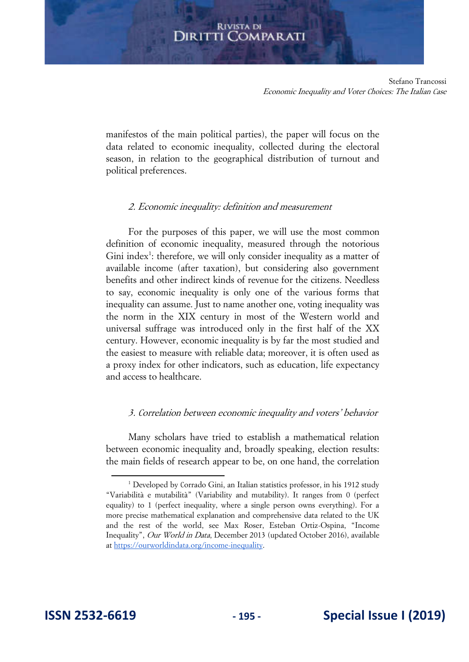Stefano Trancossi Economic Inequality and Voter Choices: The Italian Case

manifestos of the main political parties), the paper will focus on the data related to economic inequality, collected during the electoral season, in relation to the geographical distribution of turnout and political preferences.

## 2. Economic inequality: definition and measurement

For the purposes of this paper, we will use the most common definition of economic inequality, measured through the notorious Gini index<sup>1</sup>: therefore, we will only consider inequality as a matter of available income (after taxation), but considering also government benefits and other indirect kinds of revenue for the citizens. Needless to say, economic inequality is only one of the various forms that inequality can assume. Just to name another one, voting inequality was the norm in the XIX century in most of the Western world and universal suffrage was introduced only in the first half of the XX century. However, economic inequality is by far the most studied and the easiest to measure with reliable data; moreover, it is often used as a proxy index for other indicators, such as education, life expectancy and access to healthcare.

## 3. Correlation between economic inequality and voters' behavior

Many scholars have tried to establish a mathematical relation between economic inequality and, broadly speaking, election results: the main fields of research appear to be, on one hand, the correlation

<sup>&</sup>lt;sup>1</sup> Developed by Corrado Gini, an Italian statistics professor, in his 1912 study "Variabilità e mutabilità" (Variability and mutability). It ranges from 0 (perfect equality) to 1 (perfect inequality, where a single person owns everything). For a more precise mathematical explanation and comprehensive data related to the UK and the rest of the world, see Max Roser, Esteban Ortiz-Ospina, "Income Inequality", Our World in Data, December 2013 (updated October 2016), available a[t https://ourworldindata.org/income-inequality.](https://ourworldindata.org/income-inequality)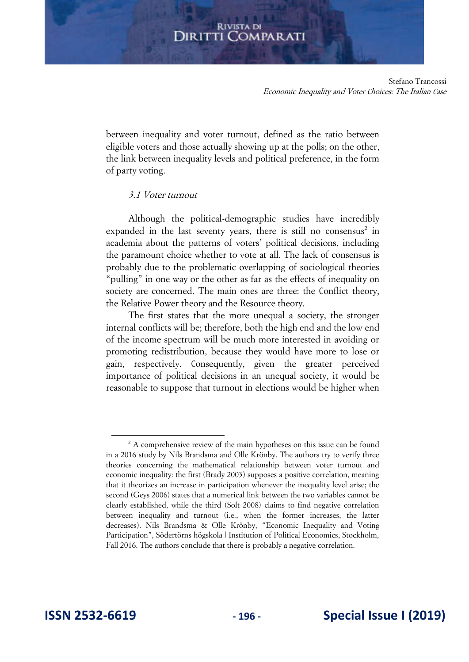Stefano Trancossi Economic Inequality and Voter Choices: The Italian Case

between inequality and voter turnout, defined as the ratio between eligible voters and those actually showing up at the polls; on the other, the link between inequality levels and political preference, in the form of party voting.

## 3.1 Voter turnout

Although the political-demographic studies have incredibly expanded in the last seventy years, there is still no consensus<sup>2</sup> in academia about the patterns of voters' political decisions, including the paramount choice whether to vote at all. The lack of consensus is probably due to the problematic overlapping of sociological theories "pulling" in one way or the other as far as the effects of inequality on society are concerned. The main ones are three: the Conflict theory, the Relative Power theory and the Resource theory.

The first states that the more unequal a society, the stronger internal conflicts will be; therefore, both the high end and the low end of the income spectrum will be much more interested in avoiding or promoting redistribution, because they would have more to lose or gain, respectively. Consequently, given the greater perceived importance of political decisions in an unequal society, it would be reasonable to suppose that turnout in elections would be higher when

<sup>&</sup>lt;sup>2</sup> A comprehensive review of the main hypotheses on this issue can be found in a 2016 study by Nils Brandsma and Olle Krönby. The authors try to verify three theories concerning the mathematical relationship between voter turnout and economic inequality: the first (Brady 2003) supposes a positive correlation, meaning that it theorizes an increase in participation whenever the inequality level arise; the second (Geys 2006) states that a numerical link between the two variables cannot be clearly established, while the third (Solt 2008) claims to find negative correlation between inequality and turnout (i.e., when the former increases, the latter decreases). Nils Brandsma & Olle Krönby, "Economic Inequality and Voting Participation", Södertörns högskola | Institution of Political Economics, Stockholm, Fall 2016. The authors conclude that there is probably a negative correlation.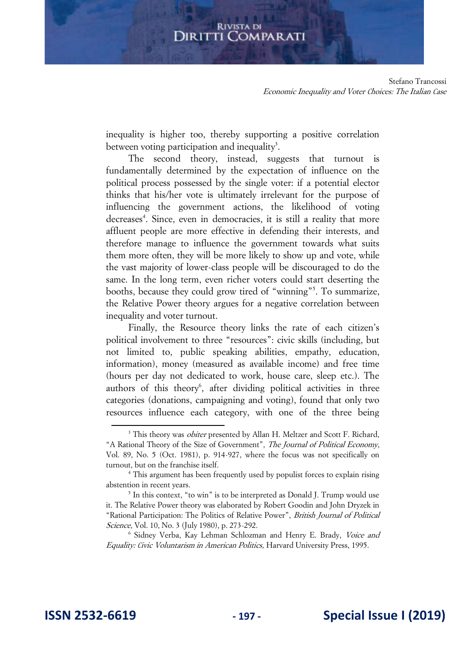Stefano Trancossi Economic Inequality and Voter Choices: The Italian Case

inequality is higher too, thereby supporting a positive correlation between voting participation and inequality<sup>3</sup>.

The second theory, instead, suggests that turnout is fundamentally determined by the expectation of influence on the political process possessed by the single voter: if a potential elector thinks that his/her vote is ultimately irrelevant for the purpose of influencing the government actions, the likelihood of voting decreases<sup>4</sup>. Since, even in democracies, it is still a reality that more affluent people are more effective in defending their interests, and therefore manage to influence the government towards what suits them more often, they will be more likely to show up and vote, while the vast majority of lower-class people will be discouraged to do the same. In the long term, even richer voters could start deserting the booths, because they could grow tired of "winning"<sup>5</sup> . To summarize, the Relative Power theory argues for a negative correlation between inequality and voter turnout.

Finally, the Resource theory links the rate of each citizen's political involvement to three "resources": civic skills (including, but not limited to, public speaking abilities, empathy, education, information), money (measured as available income) and free time (hours per day not dedicated to work, house care, sleep etc.). The authors of this theory<sup>6</sup>, after dividing political activities in three categories (donations, campaigning and voting), found that only two resources influence each category, with one of the three being

<sup>6</sup> Sidney Verba, Kay Lehman Schlozman and Henry E. Brady, Voice and Equality: Civic Voluntarism in American Politics, Harvard University Press, 1995.

<sup>&</sup>lt;sup>3</sup> This theory was *obiter* presented by Allan H. Meltzer and Scott F. Richard, "A Rational Theory of the Size of Government", The Journal of Political Economy, Vol. 89, No. 5 (Oct. 1981), p. 914-927, where the focus was not specifically on turnout, but on the franchise itself.

<sup>&</sup>lt;sup>4</sup> This argument has been frequently used by populist forces to explain rising abstention in recent years.

<sup>&</sup>lt;sup>5</sup> In this context, "to win" is to be interpreted as Donald J. Trump would use it. The Relative Power theory was elaborated by Robert Goodin and John Dryzek in "Rational Participation: The Politics of Relative Power", British Journal of Political Science, Vol. 10, No. 3 (July 1980), p. 273-292.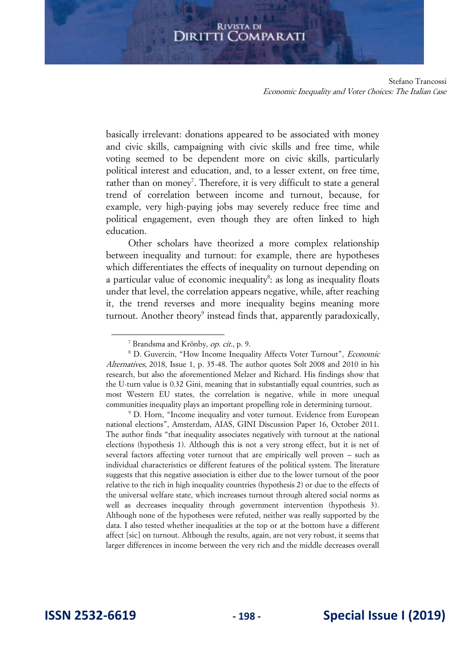Stefano Trancossi Economic Inequality and Voter Choices: The Italian Case

basically irrelevant: donations appeared to be associated with money and civic skills, campaigning with civic skills and free time, while voting seemed to be dependent more on civic skills, particularly political interest and education, and, to a lesser extent, on free time, rather than on money<sup>7</sup>. Therefore, it is very difficult to state a general trend of correlation between income and turnout, because, for example, very high-paying jobs may severely reduce free time and political engagement, even though they are often linked to high education.

Other scholars have theorized a more complex relationship between inequality and turnout: for example, there are hypotheses which differentiates the effects of inequality on turnout depending on a particular value of economic inequality<sup>8</sup>: as long as inequality floats under that level, the correlation appears negative, while, after reaching it, the trend reverses and more inequality begins meaning more turnout. Another theory<sup>9</sup> instead finds that, apparently paradoxically,

<sup>9</sup> D. Horn, "Income inequality and voter turnout. Evidence from European national elections", Amsterdam, AIAS, GINI Discussion Paper 16, October 2011. The author finds "that inequality associates negatively with turnout at the national elections (hypothesis 1). Although this is not a very strong effect, but it is net of several factors affecting voter turnout that are empirically well proven – such as individual characteristics or different features of the political system. The literature suggests that this negative association is either due to the lower turnout of the poor relative to the rich in high inequality countries (hypothesis 2) or due to the effects of the universal welfare state, which increases turnout through altered social norms as well as decreases inequality through government intervention (hypothesis 3). Although none of the hypotheses were refuted, neither was really supported by the data. I also tested whether inequalities at the top or at the bottom have a different affect [sic] on turnout. Although the results, again, are not very robust, it seems that larger differences in income between the very rich and the middle decreases overall

<sup>&</sup>lt;sup>7</sup> Brandsma and Krönby, op. cit., p. 9.

<sup>&</sup>lt;sup>8</sup> D. Guvercin, "How Income Inequality Affects Voter Turnout", *Economic* Alternatives, 2018, Issue 1, p. 35-48. The author quotes Solt 2008 and 2010 in his research, but also the aforementioned Melzer and Richard. His findings show that the U-turn value is 0.32 Gini, meaning that in substantially equal countries, such as most Western EU states, the correlation is negative, while in more unequal communities inequality plays an important propelling role in determining turnout.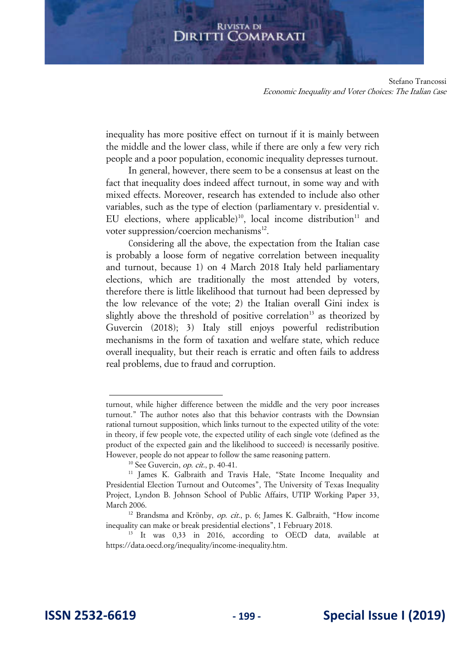Stefano Trancossi Economic Inequality and Voter Choices: The Italian Case

inequality has more positive effect on turnout if it is mainly between the middle and the lower class, while if there are only a few very rich people and a poor population, economic inequality depresses turnout.

In general, however, there seem to be a consensus at least on the fact that inequality does indeed affect turnout, in some way and with mixed effects. Moreover, research has extended to include also other variables, such as the type of election (parliamentary v. presidential v. EU elections, where applicable)<sup>10</sup>, local income distribution<sup>11</sup> and voter suppression/coercion mechanisms<sup>12</sup>.

Considering all the above, the expectation from the Italian case is probably a loose form of negative correlation between inequality and turnout, because 1) on 4 March 2018 Italy held parliamentary elections, which are traditionally the most attended by voters, therefore there is little likelihood that turnout had been depressed by the low relevance of the vote; 2) the Italian overall Gini index is slightly above the threshold of positive correlation<sup>13</sup> as theorized by Guvercin (2018); 3) Italy still enjoys powerful redistribution mechanisms in the form of taxation and welfare state, which reduce overall inequality, but their reach is erratic and often fails to address real problems, due to fraud and corruption.

turnout, while higher difference between the middle and the very poor increases turnout." The author notes also that this behavior contrasts with the Downsian rational turnout supposition, which links turnout to the expected utility of the vote: in theory, if few people vote, the expected utility of each single vote (defined as the product of the expected gain and the likelihood to succeed) is necessarily positive. However, people do not appear to follow the same reasoning pattern.

 $10$  See Guvercin, *op. cit.*, p. 40-41.

<sup>&</sup>lt;sup>11</sup> James K. Galbraith and Travis Hale, "State Income Inequality and Presidential Election Turnout and Outcomes", The University of Texas Inequality Project, Lyndon B. Johnson School of Public Affairs, UTIP Working Paper 33, March 2006.

<sup>&</sup>lt;sup>12</sup> Brandsma and Krönby, *op. cit.*, p. 6; James K. Galbraith, "How income inequality can make or break presidential elections", 1 February 2018.

<sup>&</sup>lt;sup>13</sup> It was 0,33 in 2016, according to OECD data, available at [https://data.oecd.org/inequality/income-inequality.htm.](https://data.oecd.org/inequality/income-inequality.htm)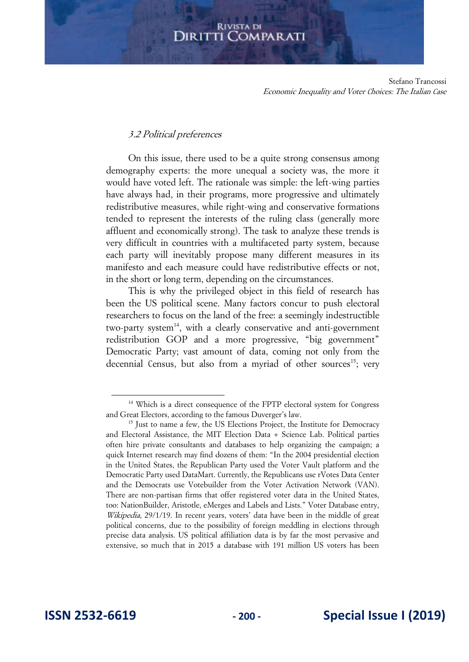Stefano Trancossi Economic Inequality and Voter Choices: The Italian Case

#### 3.2 Political preferences

On this issue, there used to be a quite strong consensus among demography experts: the more unequal a society was, the more it would have voted left. The rationale was simple: the left-wing parties have always had, in their programs, more progressive and ultimately redistributive measures, while right-wing and conservative formations tended to represent the interests of the ruling class (generally more affluent and economically strong). The task to analyze these trends is very difficult in countries with a multifaceted party system, because each party will inevitably propose many different measures in its manifesto and each measure could have redistributive effects or not, in the short or long term, depending on the circumstances.

This is why the privileged object in this field of research has been the US political scene. Many factors concur to push electoral researchers to focus on the land of the free: a seemingly indestructible two-party system<sup>14</sup>, with a clearly conservative and anti-government redistribution GOP and a more progressive, "big government" Democratic Party; vast amount of data, coming not only from the decennial Census, but also from a myriad of other sources<sup>15</sup>; very

<sup>&</sup>lt;sup>14</sup> Which is a direct consequence of the FPTP electoral system for Congress and Great Electors, according to the famous Duverger's law.

<sup>&</sup>lt;sup>15</sup> Just to name a few, the US Elections Project, the Institute for Democracy and Electoral Assistance, the MIT Election Data + Science Lab. Political parties often hire private consultants and databases to help organizing the campaign; a quick Internet research may find dozens of them: "In the 2004 presidential election in the United States, the Republican Party used the Voter Vault platform and the Democratic Party used DataMart. Currently, the Republicans use rVotes Data Center and the Democrats use Votebuilder from the Voter Activation Network (VAN). There are non-partisan firms that offer registered voter data in the United States, too: NationBuilder, Aristotle, eMerges and Labels and Lists." Voter Database entry, Wikipedia, 29/1/19. In recent years, voters' data have been in the middle of great political concerns, due to the possibility of foreign meddling in elections through precise data analysis. US political affiliation data is by far the most pervasive and extensive, so much that in 2015 a database with 191 million US voters has been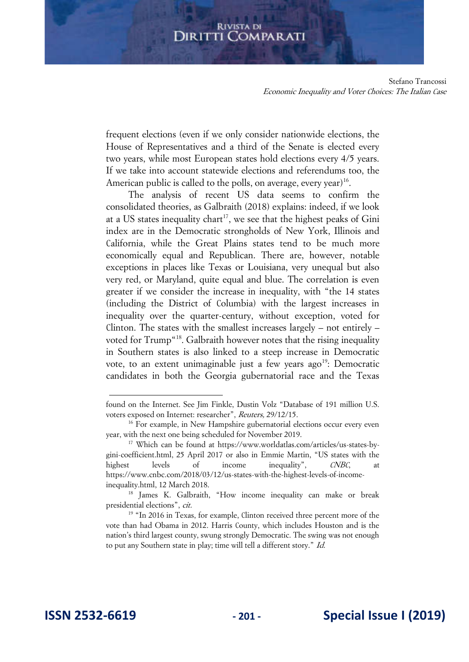Stefano Trancossi Economic Inequality and Voter Choices: The Italian Case

frequent elections (even if we only consider nationwide elections, the House of Representatives and a third of the Senate is elected every two years, while most European states hold elections every 4/5 years. If we take into account statewide elections and referendums too, the American public is called to the polls, on average, every year)<sup>16</sup>.

The analysis of recent US data seems to confirm the consolidated theories, as Galbraith (2018) explains: indeed, if we look at a US states inequality chart<sup>17</sup>, we see that the highest peaks of Gini index are in the Democratic strongholds of New York, Illinois and California, while the Great Plains states tend to be much more economically equal and Republican. There are, however, notable exceptions in places like Texas or Louisiana, very unequal but also very red, or Maryland, quite equal and blue. The correlation is even greater if we consider the increase in inequality, with "the 14 states (including the District of Columbia) with the largest increases in inequality over the quarter-century, without exception, voted for Clinton. The states with the smallest increases largely – not entirely – voted for Trump<sup>"18</sup>. Galbraith however notes that the rising inequality in Southern states is also linked to a steep increase in Democratic vote, to an extent unimaginable just a few years ago<sup>19</sup>: Democratic candidates in both the Georgia gubernatorial race and the Texas

found on the Internet. See Jim Finkle, Dustin Volz "Database of 191 million U.S. voters exposed on Internet: researcher", Reuters, 29/12/15.

<sup>&</sup>lt;sup>16</sup> For example, in New Hampshire gubernatorial elections occur every even year, with the next one being scheduled for November 2019.

<sup>17</sup> Which can be found at [https://www.worldatlas.com/articles/us-states-by](https://www.worldatlas.com/articles/us-states-by-gini-coefficient.html)[gini-coefficient.html](https://www.worldatlas.com/articles/us-states-by-gini-coefficient.html), 25 April 2017 or also in Emmie Martin, "US states with the highest levels of income inequality", *CNBC*, at [https://www.cnbc.com/2018/03/12/us-states-with-the-highest-levels-of-income](https://www.cnbc.com/2018/03/12/us-states-with-the-highest-levels-of-income-inequality.html)[inequality.html,](https://www.cnbc.com/2018/03/12/us-states-with-the-highest-levels-of-income-inequality.html) 12 March 2018.

<sup>&</sup>lt;sup>18</sup> James K. Galbraith, "How income inequality can make or break presidential elections", cit.

<sup>&</sup>lt;sup>19</sup> "In 2016 in Texas, for example, Clinton received three percent more of the vote than had Obama in 2012. Harris County, which includes Houston and is the nation's third largest county, swung strongly Democratic. The swing was not enough to put any Southern state in play; time will tell a different story." Id.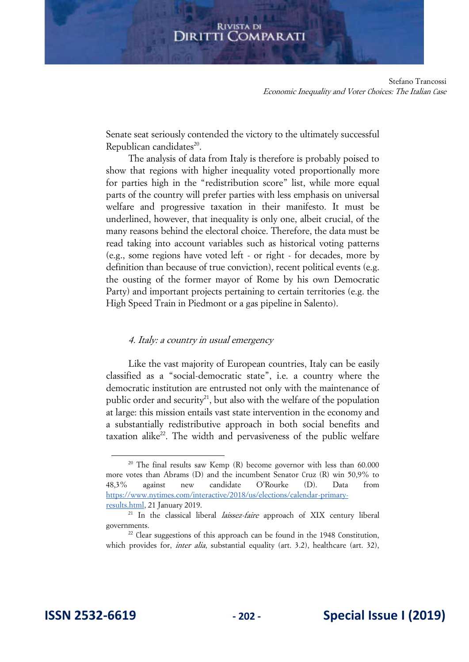Stefano Trancossi Economic Inequality and Voter Choices: The Italian Case

Senate seat seriously contended the victory to the ultimately successful Republican candidates<sup>20</sup>.

The analysis of data from Italy is therefore is probably poised to show that regions with higher inequality voted proportionally more for parties high in the "redistribution score" list, while more equal parts of the country will prefer parties with less emphasis on universal welfare and progressive taxation in their manifesto. It must be underlined, however, that inequality is only one, albeit crucial, of the many reasons behind the electoral choice. Therefore, the data must be read taking into account variables such as historical voting patterns (e.g., some regions have voted left - or right - for decades, more by definition than because of true conviction), recent political events (e.g. the ousting of the former mayor of Rome by his own Democratic Party) and important projects pertaining to certain territories (e.g. the High Speed Train in Piedmont or a gas pipeline in Salento).

#### 4. Italy: a country in usual emergency

Like the vast majority of European countries, Italy can be easily classified as a "social-democratic state", i.e. a country where the democratic institution are entrusted not only with the maintenance of public order and security<sup>21</sup>, but also with the welfare of the population at large: this mission entails vast state intervention in the economy and a substantially redistributive approach in both social benefits and taxation alike<sup>22</sup>. The width and pervasiveness of the public welfare

<sup>&</sup>lt;sup>20</sup> The final results saw Kemp (R) become governor with less than 60.000 more votes than Abrams (D) and the incumbent Senator Cruz (R) win 50,9% to 48,3% against new candidate O'Rourke (D). Data from [https://www.nytimes.com/interactive/2018/us/elections/calendar-primary](https://www.nytimes.com/interactive/2018/us/elections/calendar-primary-results.html)[results.html,](https://www.nytimes.com/interactive/2018/us/elections/calendar-primary-results.html) 21 January 2019.

 $21$  In the classical liberal *laissez-faire* approach of XIX century liberal governments.

 $22$  Clear suggestions of this approach can be found in the 1948 Constitution, which provides for, *inter alia*, substantial equality (art. 3.2), healthcare (art. 32),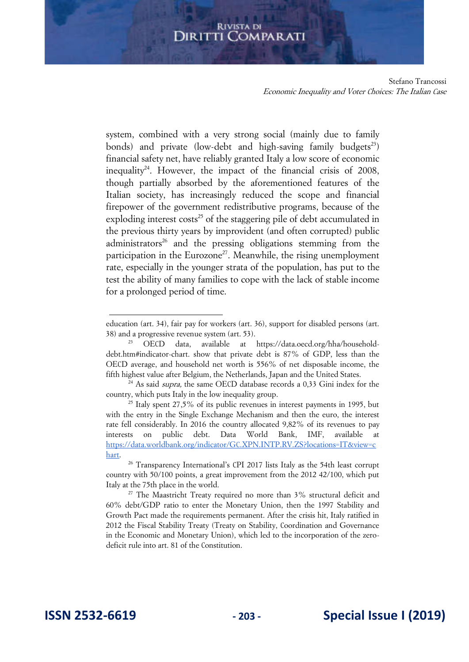system, combined with a very strong social (mainly due to family bonds) and private (low-debt and high-saving family budgets<sup>23</sup>) financial safety net, have reliably granted Italy a low score of economic inequality<sup>24</sup>. However, the impact of the financial crisis of 2008, though partially absorbed by the aforementioned features of the Italian society, has increasingly reduced the scope and financial firepower of the government redistributive programs, because of the exploding interest  $costs^{25}$  of the staggering pile of debt accumulated in the previous thirty years by improvident (and often corrupted) public administrators<sup>26</sup> and the pressing obligations stemming from the participation in the Eurozone<sup>27</sup>. Meanwhile, the rising unemployment rate, especially in the younger strata of the population, has put to the test the ability of many families to cope with the lack of stable income for a prolonged period of time.

Stefano Trancossi Economic Inequality and Voter Choices: The Italian Case

education (art. 34), fair pay for workers (art. 36), support for disabled persons (art. 38) and a progressive revenue system (art. 53).

<sup>23</sup> OECD data, available at [https://data.oecd.org/hha/household](https://data.oecd.org/hha/household-debt.htm#indicator-chart)[debt.htm#indicator-chart.](https://data.oecd.org/hha/household-debt.htm#indicator-chart) show that private debt is 87% of GDP, less than the OECD average, and household net worth is 556% of net disposable income, the fifth highest value after Belgium, the Netherlands, Japan and the United States.

 $24$  As said *supra*, the same OECD database records a 0,33 Gini index for the country, which puts Italy in the low inequality group.

 $25$  Italy spent 27,5% of its public revenues in interest payments in 1995, but with the entry in the Single Exchange Mechanism and then the euro, the interest rate fell considerably. In 2016 the country allocated 9,82% of its revenues to pay interests on public debt. Data World Bank, IMF, available at [https://data.worldbank.org/indicator/GC.XPN.INTP.RV.ZS?locations=IT&view=c](https://data.worldbank.org/indicator/GC.XPN.INTP.RV.ZS?locations=IT&view=chart) [hart.](https://data.worldbank.org/indicator/GC.XPN.INTP.RV.ZS?locations=IT&view=chart) 

<sup>&</sup>lt;sup>26</sup> Transparency International's CPI 2017 lists Italy as the 54th least corrupt country with 50/100 points, a great improvement from the 2012 42/100, which put Italy at the 75th place in the world.

<sup>&</sup>lt;sup>27</sup> The Maastricht Treaty required no more than  $3\%$  structural deficit and 60% debt/GDP ratio to enter the Monetary Union, then the 1997 Stability and Growth Pact made the requirements permanent. After the crisis hit, Italy ratified in 2012 the Fiscal Stability Treaty (Treaty on Stability, Coordination and Governance in the Economic and Monetary Union), which led to the incorporation of the zerodeficit rule into art. 81 of the Constitution.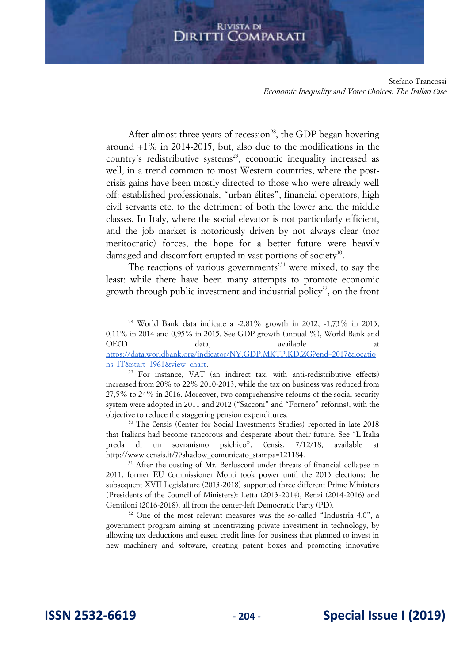Stefano Trancossi Economic Inequality and Voter Choices: The Italian Case

After almost three years of recession<sup>28</sup>, the GDP began hovering around +1% in 2014-2015, but, also due to the modifications in the country's redistributive systems<sup>29</sup>, economic inequality increased as well, in a trend common to most Western countries, where the postcrisis gains have been mostly directed to those who were already well off: established professionals, "urban élites", financial operators, high civil servants etc. to the detriment of both the lower and the middle classes. In Italy, where the social elevator is not particularly efficient, and the job market is notoriously driven by not always clear (nor meritocratic) forces, the hope for a better future were heavily damaged and discomfort erupted in vast portions of society<sup>30</sup>.

The reactions of various governments<sup>31</sup> were mixed, to say the least: while there have been many attempts to promote economic growth through public investment and industrial policy<sup>32</sup>, on the front

<sup>30</sup> The Censis (Center for Social Investments Studies) reported in late 2018 that Italians had become rancorous and desperate about their future. See "L'Italia preda di un sovranismo psichico", Censis, 7/12/18, available at http://www.censis.it/7?shadow\_comunicato\_stampa=121184.

<sup>&</sup>lt;sup>28</sup> World Bank data indicate a -2,81% growth in 2012,  $-1,73\%$  in 2013, 0,11% in 2014 and 0,95% in 2015. See GDP growth (annual %), World Bank and OECD data, available at at [https://data.worldbank.org/indicator/NY.GDP.MKTP.KD.ZG?end=2017&locatio](https://data.worldbank.org/indicator/NY.GDP.MKTP.KD.ZG?end=2017&locations=IT&start=1961&view=chart) [ns=IT&start=1961&view=chart.](https://data.worldbank.org/indicator/NY.GDP.MKTP.KD.ZG?end=2017&locations=IT&start=1961&view=chart)

<sup>29</sup> For instance, VAT (an indirect tax, with anti-redistributive effects) increased from 20% to 22% 2010-2013, while the tax on business was reduced from 27,5% to 24% in 2016. Moreover, two comprehensive reforms of the social security system were adopted in 2011 and 2012 ("Sacconi" and "Fornero" reforms), with the objective to reduce the staggering pension expenditures.

<sup>&</sup>lt;sup>31</sup> After the ousting of Mr. Berlusconi under threats of financial collapse in 2011, former EU Commissioner Monti took power until the 2013 elections; the subsequent XVII Legislature (2013-2018) supported three different Prime Ministers (Presidents of the Council of Ministers): Letta (2013-2014), Renzi (2014-2016) and Gentiloni (2016-2018), all from the center-left Democratic Party (PD).

<sup>&</sup>lt;sup>32</sup> One of the most relevant measures was the so-called "Industria 4.0", a government program aiming at incentivizing private investment in technology, by allowing tax deductions and eased credit lines for business that planned to invest in new machinery and software, creating patent boxes and promoting innovative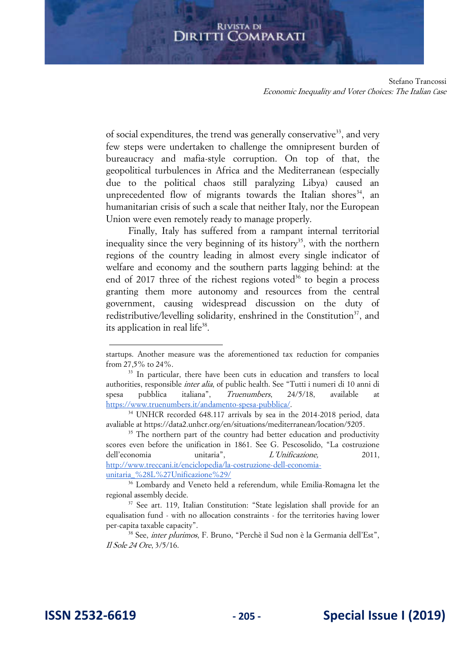Stefano Trancossi Economic Inequality and Voter Choices: The Italian Case

of social expenditures, the trend was generally conservative<sup>33</sup>, and very few steps were undertaken to challenge the omnipresent burden of bureaucracy and mafia-style corruption. On top of that, the geopolitical turbulences in Africa and the Mediterranean (especially due to the political chaos still paralyzing Libya) caused an unprecedented flow of migrants towards the Italian shores<sup>34</sup>, an humanitarian crisis of such a scale that neither Italy, nor the European Union were even remotely ready to manage properly.

Finally, Italy has suffered from a rampant internal territorial inequality since the very beginning of its history<sup>35</sup>, with the northern regions of the country leading in almost every single indicator of welfare and economy and the southern parts lagging behind: at the end of 2017 three of the richest regions voted<sup>36</sup> to begin a process granting them more autonomy and resources from the central government, causing widespread discussion on the duty of redistributive/levelling solidarity, enshrined in the Constitution<sup>37</sup>, and its application in real life<sup>38</sup>.

startups. Another measure was the aforementioned tax reduction for companies from 27,5% to 24%.

<sup>&</sup>lt;sup>33</sup> In particular, there have been cuts in education and transfers to local authorities, responsible *inter alia*, of public health. See "Tutti i numeri di 10 anni di spesa pubblica italiana", Truenumbers, 24/5/18, available at [https://www.truenumbers.it/andamento-spesa-pubblica/.](https://www.truenumbers.it/andamento-spesa-pubblica/) 

<sup>34</sup> UNHCR recorded 648.117 arrivals by sea in the 2014-2018 period, data avaliable at [https://data2.unhcr.org/en/situations/mediterranean/location/5205.](https://data2.unhcr.org/en/situations/mediterranean/location/5205)

<sup>&</sup>lt;sup>35</sup> The northern part of the country had better education and productivity scores even before the unification in 1861. See G. Pescosolido, "La costruzione dell'economia unitaria", *L'Unificazione*, 2011, [http://www.treccani.it/enciclopedia/la-costruzione-dell-economia](http://www.treccani.it/enciclopedia/la-costruzione-dell-economia-unitaria_%28L%27Unificazione%29/G)[unitaria\\_%28L%27Unificazione%29/](http://www.treccani.it/enciclopedia/la-costruzione-dell-economia-unitaria_%28L%27Unificazione%29/G)

<sup>36</sup> Lombardy and Veneto held a referendum, while Emilia-Romagna let the regional assembly decide.

<sup>&</sup>lt;sup>37</sup> See art. 119, Italian Constitution: "State legislation shall provide for an equalisation fund - with no allocation constraints - for the territories having lower per-capita taxable capacity".

<sup>38</sup> See, inter plurimos, F. Bruno, "Perchè il Sud non è la Germania dell'Est", Il Sole 24 Ore, 3/5/16.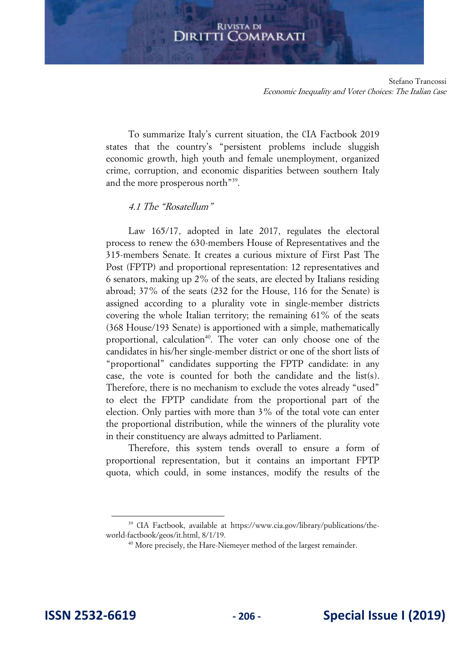Stefano Trancossi Economic Inequality and Voter Choices: The Italian Case

To summarize Italy's current situation, the CIA Factbook 2019 states that the country's "persistent problems include sluggish economic growth, high youth and female unemployment, organized crime, corruption, and economic disparities between southern Italy and the more prosperous north"<sup>39</sup>.

## 4.1 The "Rosatellum"

Law 165/17, adopted in late 2017, regulates the electoral process to renew the 630-members House of Representatives and the 315-members Senate. It creates a curious mixture of First Past The Post (FPTP) and proportional representation: 12 representatives and 6 senators, making up 2% of the seats, are elected by Italians residing abroad; 37% of the seats (232 for the House, 116 for the Senate) is assigned according to a plurality vote in single-member districts covering the whole Italian territory; the remaining 61% of the seats (368 House/193 Senate) is apportioned with a simple, mathematically proportional, calculation<sup>40</sup>. The voter can only choose one of the candidates in his/her single-member district or one of the short lists of "proportional" candidates supporting the FPTP candidate: in any case, the vote is counted for both the candidate and the list(s). Therefore, there is no mechanism to exclude the votes already "used" to elect the FPTP candidate from the proportional part of the election. Only parties with more than 3% of the total vote can enter the proportional distribution, while the winners of the plurality vote in their constituency are always admitted to Parliament.

Therefore, this system tends overall to ensure a form of proportional representation, but it contains an important FPTP quota, which could, in some instances, modify the results of the

<sup>39</sup> CIA Factbook, available at [https://www.cia.gov/library/publications/the](https://www.cia.gov/library/publications/the-world-factbook/geos/it.html)[world-factbook/geos/it.html,](https://www.cia.gov/library/publications/the-world-factbook/geos/it.html) 8/1/19.

<sup>&</sup>lt;sup>40</sup> More precisely, the Hare-Niemeyer method of the largest remainder.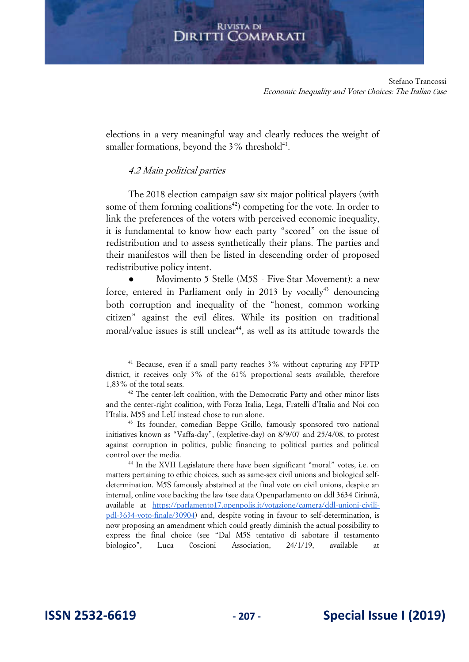Stefano Trancossi Economic Inequality and Voter Choices: The Italian Case

elections in a very meaningful way and clearly reduces the weight of smaller formations, beyond the  $3\%$  threshold $41$ .

## 4.2 Main political parties

The 2018 election campaign saw six major political players (with some of them forming coalitions<sup>42</sup>) competing for the vote. In order to link the preferences of the voters with perceived economic inequality, it is fundamental to know how each party "scored" on the issue of redistribution and to assess synthetically their plans. The parties and their manifestos will then be listed in descending order of proposed redistributive policy intent.

Movimento 5 Stelle (M5S - Five-Star Movement): a new force, entered in Parliament only in 2013 by vocally<sup>43</sup> denouncing both corruption and inequality of the "honest, common working citizen" against the evil élites. While its position on traditional moral/value issues is still unclear<sup>44</sup>, as well as its attitude towards the

 $41$  Because, even if a small party reaches  $3\%$  without capturing any FPTP district, it receives only 3% of the 61% proportional seats available, therefore 1,83% of the total seats.

 $42$  The center-left coalition, with the Democratic Party and other minor lists and the center-right coalition, with Forza Italia, Lega, Fratelli d'Italia and Noi con l'Italia. M5S and LeU instead chose to run alone.

<sup>&</sup>lt;sup>43</sup> Its founder, comedian Beppe Grillo, famously sponsored two national initiatives known as "Vaffa-day", (expletive-day) on 8/9/07 and 25/4/08, to protest against corruption in politics, public financing to political parties and political control over the media.

<sup>44</sup> In the XVII Legislature there have been significant "moral" votes, i.e. on matters pertaining to ethic choices, such as same-sex civil unions and biological selfdetermination. M5S famously abstained at the final vote on civil unions, despite an internal, online vote backing the law (see data Openparlamento on ddl 3634 Cirinnà, available at [https://parlamento17.openpolis.it/votazione/camera/ddl-unioni-civili](https://parlamento17.openpolis.it/votazione/camera/ddl-unioni-civili-pdl-3634-voto-finale/30904)[pdl-3634-voto-finale/30904\)](https://parlamento17.openpolis.it/votazione/camera/ddl-unioni-civili-pdl-3634-voto-finale/30904) and, despite voting in favour to self-determination, is now proposing an amendment which could greatly diminish the actual possibility to express the final choice (see "Dal M5S tentativo di sabotare il testamento biologico", Luca Coscioni Association, 24/1/19, available at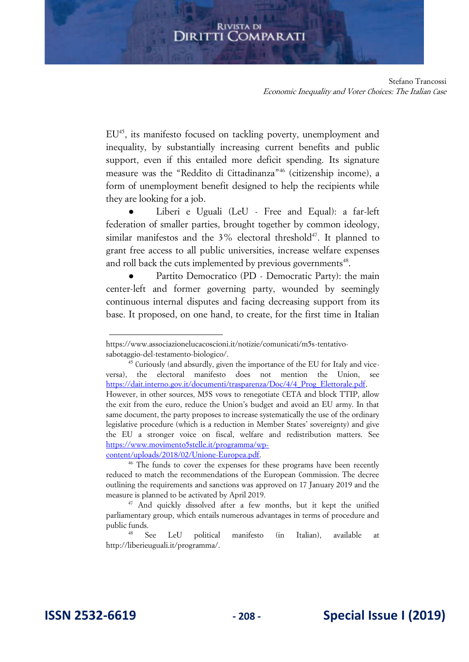Stefano Trancossi Economic Inequality and Voter Choices: The Italian Case

EU<sup>45</sup>, its manifesto focused on tackling poverty, unemployment and inequality, by substantially increasing current benefits and public support, even if this entailed more deficit spending. Its signature measure was the "Reddito di Cittadinanza"<sup>46</sup> (citizenship income), a form of unemployment benefit designed to help the recipients while they are looking for a job.

Liberi e Uguali (LeU - Free and Equal): a far-left federation of smaller parties, brought together by common ideology, similar manifestos and the  $3\%$  electoral threshold<sup>47</sup>. It planned to grant free access to all public universities, increase welfare expenses and roll back the cuts implemented by previous governments<sup>48</sup>.

Partito Democratico (PD - Democratic Party): the main center-left and former governing party, wounded by seemingly continuous internal disputes and facing decreasing support from its base. It proposed, on one hand, to create, for the first time in Italian

https://www.associazionelucacoscioni.it/notizie/comunicati/m5s-tentativosabotaggio-del-testamento-biologico/.

 $45$  Curiously (and absurdly, given the importance of the EU for Italy and viceversa), the electoral manifesto does not mention the Union, see [https://dait.interno.gov.it/documenti/trasparenza/Doc/4/4\\_Prog\\_Elettorale.pdf.](https://dait.interno.gov.it/documenti/trasparenza/Doc/4/4_Prog_Elettorale.pdf)  However, in other sources, M5S vows to renegotiate CETA and block TTIP, allow the exit from the euro, reduce the Union's budget and avoid an EU army. In that same document, the party proposes to increase systematically the use of the ordinary legislative procedure (which is a reduction in Member States' sovereignty) and give the EU a stronger voice on fiscal, welfare and redistribution matters. See [https://www.movimento5stelle.it/programma/wp](https://www.movimento5stelle.it/programma/wp-content/uploads/2018/02/Unione-Europea.pdf)[content/uploads/2018/02/Unione-Europea.pdf.](https://www.movimento5stelle.it/programma/wp-content/uploads/2018/02/Unione-Europea.pdf) 

<sup>&</sup>lt;sup>46</sup> The funds to cover the expenses for these programs have been recently reduced to match the recommendations of the European Commission. The decree outlining the requirements and sanctions was approved on 17 January 2019 and the measure is planned to be activated by April 2019.

<sup>&</sup>lt;sup>47</sup> And quickly dissolved after a few months, but it kept the unified parliamentary group, which entails numerous advantages in terms of procedure and public funds.

<sup>48</sup> See LeU political manifesto (in Italian), available at [http://liberieuguali.it/programma/.](http://liberieuguali.it/programma/)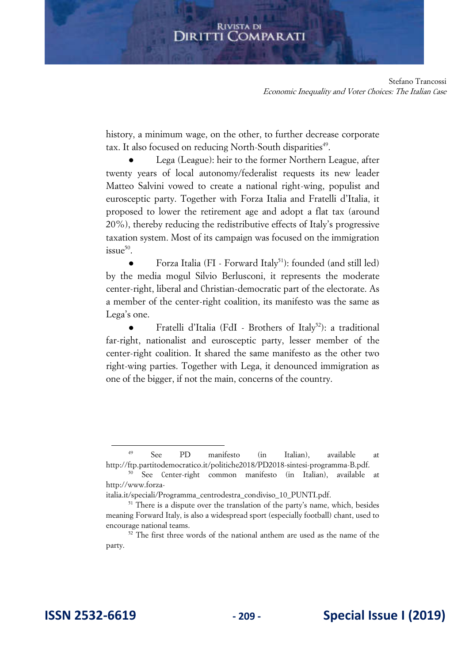Stefano Trancossi Economic Inequality and Voter Choices: The Italian Case

history, a minimum wage, on the other, to further decrease corporate tax. It also focused on reducing North-South disparities<sup>49</sup>.

Lega (League): heir to the former Northern League, after twenty years of local autonomy/federalist requests its new leader Matteo Salvini vowed to create a national right-wing, populist and eurosceptic party. Together with Forza Italia and Fratelli d'Italia, it proposed to lower the retirement age and adopt a flat tax (around 20%), thereby reducing the redistributive effects of Italy's progressive taxation system. Most of its campaign was focused on the immigration issu $e^{50}$ .

Forza Italia (FI - Forward Italy<sup>51</sup>): founded (and still led) by the media mogul Silvio Berlusconi, it represents the moderate center-right, liberal and Christian-democratic part of the electorate. As a member of the center-right coalition, its manifesto was the same as Lega's one.

Fratelli d'Italia (FdI - Brothers of Italy<sup>52</sup>): a traditional far-right, nationalist and eurosceptic party, lesser member of the center-right coalition. It shared the same manifesto as the other two right-wing parties. Together with Lega, it denounced immigration as one of the bigger, if not the main, concerns of the country.

<sup>49</sup> See PD manifesto (in Italian), available at [http://ftp.partitodemocratico.it/politiche2018/PD2018-sintesi-programma-B.pdf.](http://ftp.partitodemocratico.it/politiche2018/PD2018-sintesi-programma-B.pdf)

<sup>50</sup> See Center-right common manifesto (in Italian), available at [http://www.forza-](http://www.forza-italia.it/speciali/Programma_centrodestra_condiviso_10_PUNTI.pdf)

[italia.it/speciali/Programma\\_centrodestra\\_condiviso\\_10\\_PUNTI.pdf.](http://www.forza-italia.it/speciali/Programma_centrodestra_condiviso_10_PUNTI.pdf)

 $51$  There is a dispute over the translation of the party's name, which, besides meaning Forward Italy, is also a widespread sport (especially football) chant, used to encourage national teams.

<sup>&</sup>lt;sup>52</sup> The first three words of the national anthem are used as the name of the party.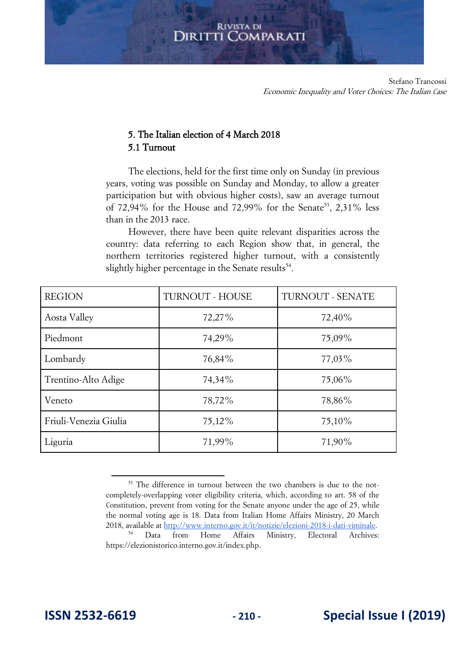## 5. The Italian election of 4 March 2018 5.1 Turnout

The elections, held for the first time only on Sunday (in previous years, voting was possible on Sunday and Monday, to allow a greater participation but with obvious higher costs), saw an average turnout of 72,94% for the House and 72,99% for the Senate<sup>53</sup>, 2,31% less than in the 2013 race.

However, there have been quite relevant disparities across the country: data referring to each Region show that, in general, the northern territories registered higher turnout, with a consistently slightly higher percentage in the Senate results<sup>54</sup>.

| <b>REGION</b>         | TURNOUT - HOUSE | TURNOUT - SENATE |  |
|-----------------------|-----------------|------------------|--|
| Aosta Valley          | 72,27%          | 72,40%           |  |
| Piedmont              | 74,29%          | 75,09%           |  |
| Lombardy              | 76,84%          | $77,03\%$        |  |
| Trentino-Alto Adige   | 74,34%          | 75,06%           |  |
| Veneto                | 78,72%          | 78,86%           |  |
| Friuli-Venezia Giulia | 75,12%          | 75,10%           |  |
| Liguria               | 71,99%          | 71,90%           |  |

<sup>&</sup>lt;sup>53</sup> The difference in turnout between the two chambers is due to the notcompletely-overlapping voter eligibility criteria, which, according to art. 58 of the Constitution, prevent from voting for the Senate anyone under the age of 25, while the normal voting age is 18. Data from Italian Home Affairs Ministry, 20 March 2018, available at [http://www.interno.gov.it/it/notizie/elezioni-2018-i-dati-viminale.](http://www.interno.gov.it/it/notizie/elezioni-2018-i-dati-viminale) <sup>54</sup> Data from Home Affairs Ministry, Electoral Archives: [https://elezionistorico.interno.gov.it/index.php.](https://elezionistorico.interno.gov.it/index.php)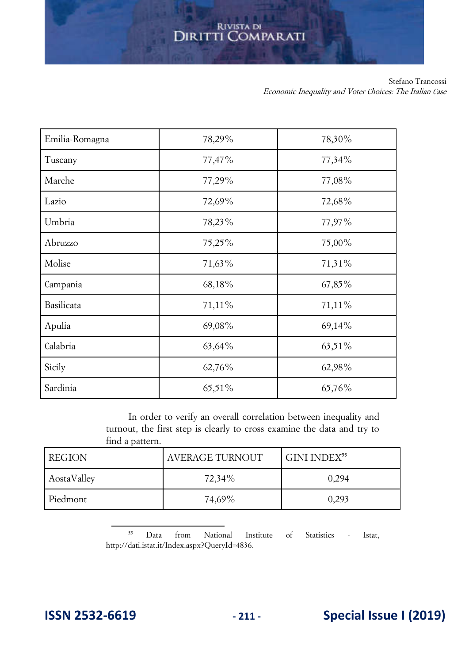Stefano Trancossi Economic Inequality and Voter Choices: The Italian Case

| Emilia-Romagna | 78,29%    | 78,30% |
|----------------|-----------|--------|
| Tuscany        | 77,47%    | 77,34% |
| Marche         | 77,29%    | 77,08% |
| Lazio          | 72,69%    | 72,68% |
| Umbria         | 78,23%    | 77,97% |
| Abruzzo        | 75,25%    | 75,00% |
| Molise         | 71,63%    | 71,31% |
| Campania       | 68,18%    | 67,85% |
| Basilicata     | 71,11%    | 71,11% |
| Apulia         | 69,08%    | 69,14% |
| Calabria       | $63,64\%$ | 63,51% |
| Sicily         | 62,76%    | 62,98% |
| Sardinia       | 65,51%    | 65,76% |

In order to verify an overall correlation between inequality and turnout, the first step is clearly to cross examine the data and try to find a pattern.

| <b>REGION</b> | AVERAGE TURNOUT | GINI INDEX <sup>55</sup> |  |
|---------------|-----------------|--------------------------|--|
| AostaValley   | 72,34%          | 0,294                    |  |
| Piedmont      | 74,69%          | 0,293                    |  |

<sup>55</sup> Data from National Institute of Statistics - Istat, [http://dati.istat.it/Index.aspx?QueryId=4836.](http://dati.istat.it/Index.aspx?QueryId=4836)

## **ISSN 2532-6619 - 211 - Special Issue I (2019)**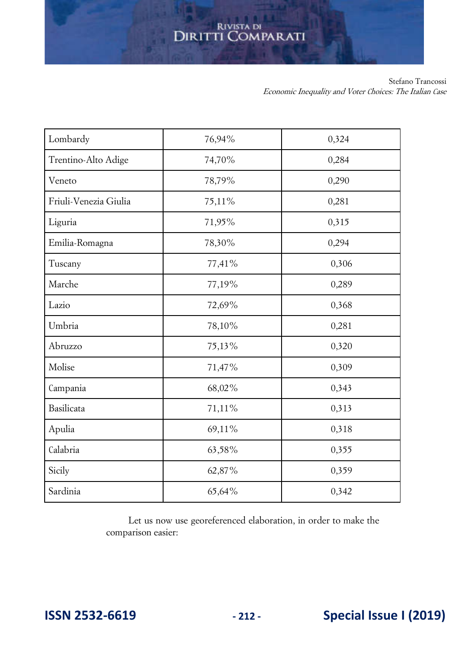Stefano Trancossi Economic Inequality and Voter Choices: The Italian Case

| Lombardy              | 76,94% | 0,324 |  |
|-----------------------|--------|-------|--|
| Trentino-Alto Adige   | 74,70% | 0,284 |  |
| Veneto                | 78,79% | 0,290 |  |
| Friuli-Venezia Giulia | 75,11% | 0,281 |  |
| Liguria               | 71,95% | 0,315 |  |
| Emilia-Romagna        | 78,30% | 0,294 |  |
| Tuscany               | 77,41% | 0,306 |  |
| Marche                | 77,19% | 0,289 |  |
| Lazio                 | 72,69% | 0,368 |  |
| Umbria                | 78,10% | 0,281 |  |
| Abruzzo               | 75,13% | 0,320 |  |
| Molise                | 71,47% | 0,309 |  |
| Campania              | 68,02% | 0,343 |  |
| Basilicata            | 71,11% | 0,313 |  |
| Apulia                | 69,11% | 0,318 |  |
| Calabria              | 63,58% | 0,355 |  |
| Sicily                | 62,87% | 0,359 |  |
| Sardinia              | 65,64% | 0,342 |  |

Let us now use georeferenced elaboration, in order to make the comparison easier:

**ISSN 2532-6619 - 212 - Special Issue I (2019)**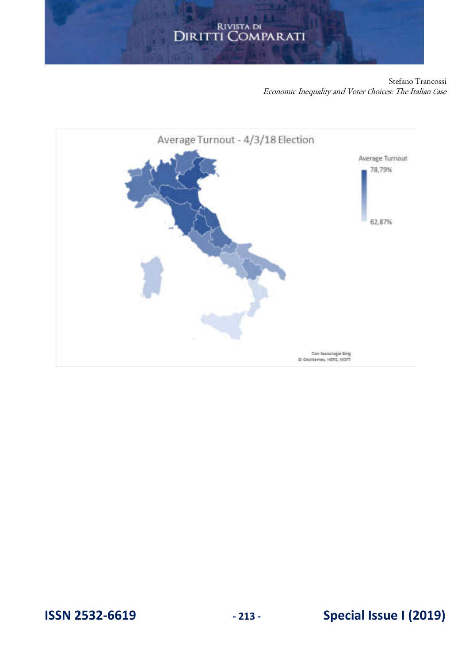Stefano Trancossi Economic Inequality and Voter Choices: The Italian Case



## **ISSN 2532-6619 - 213 - Special Issue I (2019)**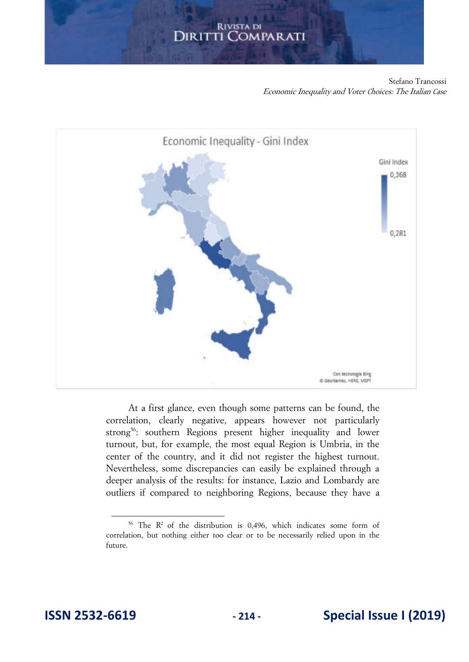Stefano Trancossi Economic Inequality and Voter Choices: The Italian Case



At a first glance, even though some patterns can be found, the correlation, clearly negative, appears however not particularly strong<sup>56</sup>: southern Regions present higher inequality and lower turnout, but, for example, the most equal Region is Umbria, in the center of the country, and it did not register the highest turnout. Nevertheless, some discrepancies can easily be explained through a deeper analysis of the results: for instance, Lazio and Lombardy are outliers if compared to neighboring Regions, because they have a

<sup>&</sup>lt;sup>56</sup> The  $R^2$  of the distribution is 0,496, which indicates some form of correlation, but nothing either too clear or to be necessarily relied upon in the future.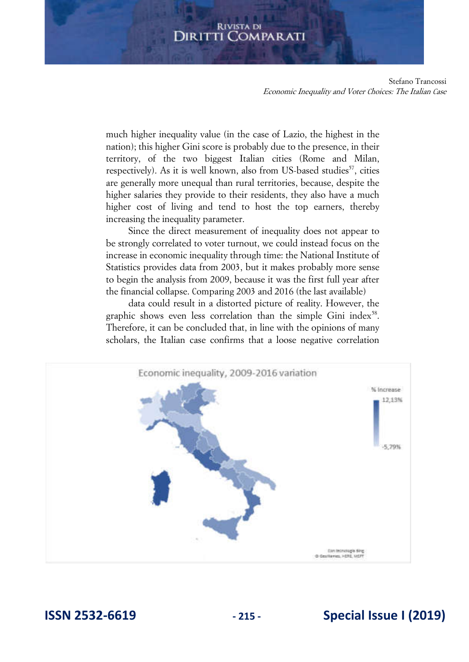Stefano Trancossi Economic Inequality and Voter Choices: The Italian Case

much higher inequality value (in the case of Lazio, the highest in the nation); this higher Gini score is probably due to the presence, in their territory, of the two biggest Italian cities (Rome and Milan, respectively). As it is well known, also from US-based studies<sup>57</sup>, cities are generally more unequal than rural territories, because, despite the higher salaries they provide to their residents, they also have a much higher cost of living and tend to host the top earners, thereby increasing the inequality parameter.

Since the direct measurement of inequality does not appear to be strongly correlated to voter turnout, we could instead focus on the increase in economic inequality through time: the National Institute of Statistics provides data from 2003, but it makes probably more sense to begin the analysis from 2009, because it was the first full year after the financial collapse. Comparing 2003 and 2016 (the last available)

data could result in a distorted picture of reality. However, the graphic shows even less correlation than the simple Gini index $58$ . Therefore, it can be concluded that, in line with the opinions of many scholars, the Italian case confirms that a loose negative correlation



## **ISSN 2532-6619 - 215 - Special Issue I (2019)**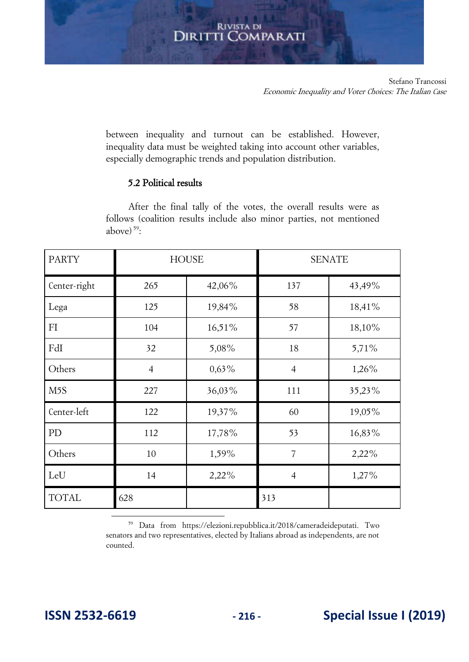between inequality and turnout can be established. However, inequality data must be weighted taking into account other variables, especially demographic trends and population distribution.

## 5.2 Political results

After the final tally of the votes, the overall results were as follows (coalition results include also minor parties, not mentioned above) $59$ :

| <b>PARTY</b>     | <b>HOUSE</b>   |          | <b>SENATE</b>  |        |
|------------------|----------------|----------|----------------|--------|
| Center-right     | 265            | 42,06%   | 137            | 43,49% |
| Lega             | 125            | 19,84%   | 58             | 18,41% |
| FI               | 104            | 16,51%   | 57             | 18,10% |
| FdI              | 32             | 5,08%    | 18             | 5,71%  |
| Others           | $\overline{4}$ | $0,63\%$ | $\overline{4}$ | 1,26%  |
| M <sub>5</sub> S | 227            | 36,03%   | 111            | 35,23% |
| Center-left      | 122            | 19,37%   | 60             | 19,05% |
| PD               | 112            | 17,78%   | 53             | 16,83% |
| Others           | 10             | 1,59%    | 7              | 2,22%  |
| LeU              | 14             | 2,22%    | $\overline{4}$ | 1,27%  |
| <b>TOTAL</b>     | 628            |          | 313            |        |

<sup>59</sup> Data from [https://elezioni.repubblica.it/2018/cameradeideputati.](https://elezioni.repubblica.it/2018/cameradeideputati) Two senators and two representatives, elected by Italians abroad as independents, are not counted.

## **ISSN 2532-6619 - 216 - Special Issue I (2019)**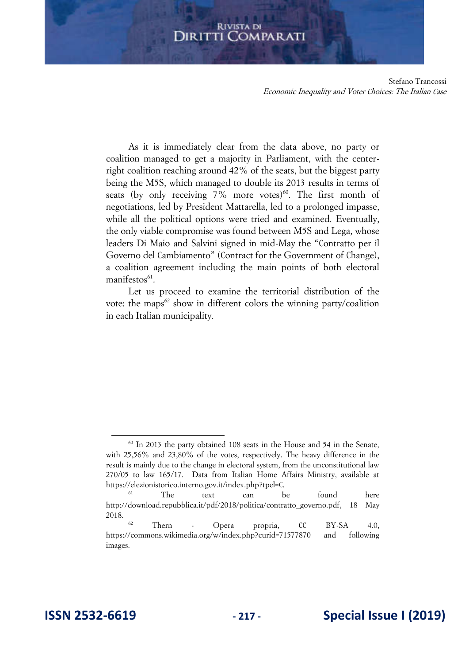#### **RIVISTA DI** Diritti ( **COMPARATI**

Stefano Trancossi Economic Inequality and Voter Choices: The Italian Case

As it is immediately clear from the data above, no party or coalition managed to get a majority in Parliament, with the centerright coalition reaching around 42% of the seats, but the biggest party being the M5S, which managed to double its 2013 results in terms of seats (by only receiving  $7\%$  more votes)<sup>60</sup>. The first month of negotiations, led by President Mattarella, led to a prolonged impasse, while all the political options were tried and examined. Eventually, the only viable compromise was found between M5S and Lega, whose leaders Di Maio and Salvini signed in mid-May the "Contratto per il Governo del Cambiamento" (Contract for the Government of Change), a coalition agreement including the main points of both electoral manifestos<sup>61</sup>.

Let us proceed to examine the territorial distribution of the vote: the maps<sup>62</sup> show in different colors the winning party/coalition in each Italian municipality.

 $60$  In 2013 the party obtained 108 seats in the House and 54 in the Senate, with 25,56% and 23,80% of the votes, respectively. The heavy difference in the result is mainly due to the change in electoral system, from the unconstitutional law 270/05 to law 165/17. Data from Italian Home Affairs Ministry, available at https://elezionistorico.interno.gov.it/index.php?tpel=C.

<sup>61</sup> The text can be found here [http://download.repubblica.it/pdf/2018/politica/contratto\\_governo.pdf,](http://download.repubblica.it/pdf/2018/politica/contratto_governo.pdf) 18 May 2018.

<sup>62</sup> Thern - Opera propria, CC BY-SA 4.0, <https://commons.wikimedia.org/w/index.php?curid=71577870>and following images.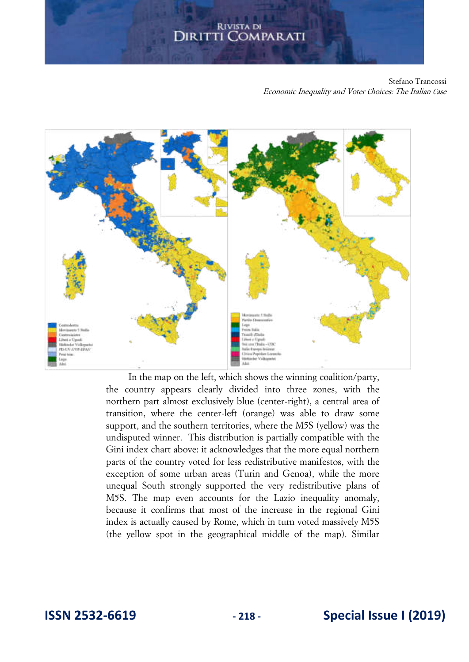Stefano Trancossi Economic Inequality and Voter Choices: The Italian Case



In the map on the left, which shows the winning coalition/party, the country appears clearly divided into three zones, with the northern part almost exclusively blue (center-right), a central area of transition, where the center-left (orange) was able to draw some support, and the southern territories, where the M5S (yellow) was the undisputed winner. This distribution is partially compatible with the Gini index chart above: it acknowledges that the more equal northern parts of the country voted for less redistributive manifestos, with the exception of some urban areas (Turin and Genoa), while the more unequal South strongly supported the very redistributive plans of M5S. The map even accounts for the Lazio inequality anomaly, because it confirms that most of the increase in the regional Gini index is actually caused by Rome, which in turn voted massively M5S (the yellow spot in the geographical middle of the map). Similar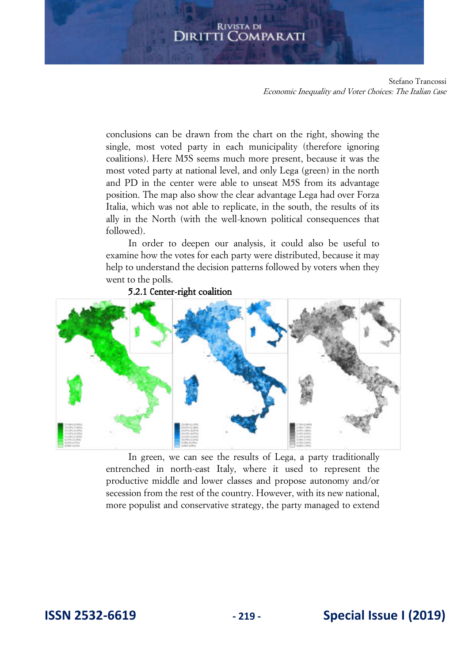# **DIRITTI COMPARATI**

Stefano Trancossi Economic Inequality and Voter Choices: The Italian Case

conclusions can be drawn from the chart on the right, showing the single, most voted party in each municipality (therefore ignoring coalitions). Here M5S seems much more present, because it was the most voted party at national level, and only Lega (green) in the north and PD in the center were able to unseat M5S from its advantage position. The map also show the clear advantage Lega had over Forza Italia, which was not able to replicate, in the south, the results of its ally in the North (with the well-known political consequences that followed).

In order to deepen our analysis, it could also be useful to examine how the votes for each party were distributed, because it may help to understand the decision patterns followed by voters when they went to the polls.

## 5.2.1 Center-right coalition



In green, we can see the results of Lega, a party traditionally entrenched in north-east Italy, where it used to represent the productive middle and lower classes and propose autonomy and/or secession from the rest of the country. However, with its new national, more populist and conservative strategy, the party managed to extend

## **ISSN 2532-6619 - 219 - Special Issue I (2019)**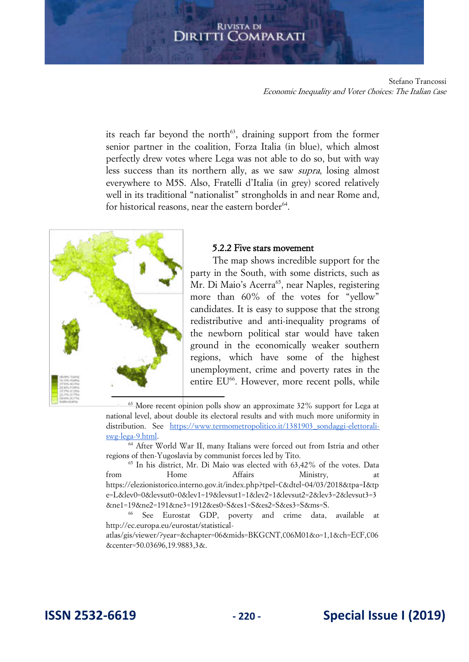# **DIRITTI COMPARATI**

Stefano Trancossi Economic Inequality and Voter Choices: The Italian Case

its reach far beyond the north<sup> $63$ </sup>, draining support from the former senior partner in the coalition, Forza Italia (in blue), which almost perfectly drew votes where Lega was not able to do so, but with way less success than its northern ally, as we saw supra, losing almost everywhere to M5S. Also, Fratelli d'Italia (in grey) scored relatively well in its traditional "nationalist" strongholds in and near Rome and, for historical reasons, near the eastern border<sup>64</sup>.



## 5.2.2 Five stars movement

The map shows incredible support for the party in the South, with some districts, such as Mr. Di Maio's Acerra<sup>65</sup>, near Naples, registering more than 60% of the votes for "yellow" candidates. It is easy to suppose that the strong redistributive and anti-inequality programs of the newborn political star would have taken ground in the economically weaker southern regions, which have some of the highest unemployment, crime and poverty rates in the entire EU<sup>66</sup>. However, more recent polls, while

 $63$  More recent opinion polls show an approximate 32% support for Lega at national level, about double its electoral results and with much more uniformity in distribution. See https://www.termometropolitico.it/1381903 sondaggi-elettorali[swg-lega-9.html.](https://www.termometropolitico.it/1381903_sondaggi-elettorali-swg-lega-9.html) 

<sup>64</sup> After World War II, many Italians were forced out from Istria and other regions of then-Yugoslavia by communist forces led by Tito.

 $65$  In his district, Mr. Di Maio was elected with  $63,42\%$  of the votes. Data from Home Affairs Ministry, at [https://elezionistorico.interno.gov.it/index.php?tpel=C&dtel=04/03/2018&tpa=I&tp](https://elezionistorico.interno.gov.it/index.php?tpel=C&dtel=04/03/2018&tpa=I&tpe=L&lev0=0&levsut0=0&lev1=19&levsut1=1&lev2=1&levsut2=2&lev3=2&levsut3=3&ne1=19&ne2=191&ne3=1912&es0=S&es1=S&es2=S&es3=S&ms=S) [e=L&lev0=0&levsut0=0&lev1=19&levsut1=1&lev2=1&levsut2=2&lev3=2&levsut3=3](https://elezionistorico.interno.gov.it/index.php?tpel=C&dtel=04/03/2018&tpa=I&tpe=L&lev0=0&levsut0=0&lev1=19&levsut1=1&lev2=1&levsut2=2&lev3=2&levsut3=3&ne1=19&ne2=191&ne3=1912&es0=S&es1=S&es2=S&es3=S&ms=S) [&ne1=19&ne2=191&ne3=1912&es0=S&es1=S&es2=S&es3=S&ms=S.](https://elezionistorico.interno.gov.it/index.php?tpel=C&dtel=04/03/2018&tpa=I&tpe=L&lev0=0&levsut0=0&lev1=19&levsut1=1&lev2=1&levsut2=2&lev3=2&levsut3=3&ne1=19&ne2=191&ne3=1912&es0=S&es1=S&es2=S&es3=S&ms=S)

<sup>66</sup> See Eurostat GDP, poverty and crime data, available at [http://ec.europa.eu/eurostat/statistical-](http://ec.europa.eu/eurostat/statistical-atlas/gis/viewer/?year=&chapter=06&mids=BKGCNT,C06M01&o=1,1&ch=ECF,C06¢er=50.03696,19.9883,3&)

[atlas/gis/viewer/?year=&chapter=06&mids=BKGCNT,C06M01&o=1,1&ch=ECF,C06](http://ec.europa.eu/eurostat/statistical-atlas/gis/viewer/?year=&chapter=06&mids=BKGCNT,C06M01&o=1,1&ch=ECF,C06¢er=50.03696,19.9883,3&) [&center=50.03696,19.9883,3&.](http://ec.europa.eu/eurostat/statistical-atlas/gis/viewer/?year=&chapter=06&mids=BKGCNT,C06M01&o=1,1&ch=ECF,C06¢er=50.03696,19.9883,3&)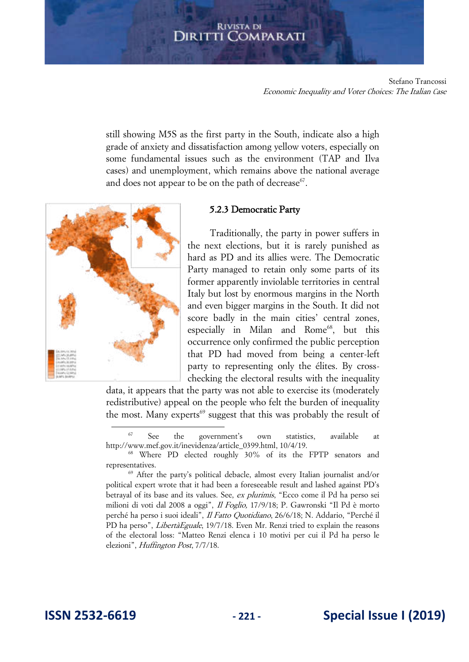Stefano Trancossi Economic Inequality and Voter Choices: The Italian Case

still showing M5S as the first party in the South, indicate also a high grade of anxiety and dissatisfaction among yellow voters, especially on some fundamental issues such as the environment (TAP and Ilva cases) and unemployment, which remains above the national average and does not appear to be on the path of decrease $67$ .



## 5.2.3 Democratic Party

Traditionally, the party in power suffers in the next elections, but it is rarely punished as hard as PD and its allies were. The Democratic Party managed to retain only some parts of its former apparently inviolable territories in central Italy but lost by enormous margins in the North and even bigger margins in the South. It did not score badly in the main cities' central zones, especially in Milan and Rome<sup>68</sup>, but this occurrence only confirmed the public perception that PD had moved from being a center-left party to representing only the élites. By crosschecking the electoral results with the inequality

data, it appears that the party was not able to exercise its (moderately redistributive) appeal on the people who felt the burden of inequality the most. Many experts<sup>69</sup> suggest that this was probably the result of

<sup>67</sup> See the government's own statistics, available at [http://www.mef.gov.it/inevidenza/article\\_0399.html,](http://www.mef.gov.it/inevidenza/article_0399.html) 10/4/19.

<sup>68</sup> Where PD elected roughly 30% of its the FPTP senators and representatives.

<sup>69</sup> After the party's political debacle, almost every Italian journalist and/or political expert wrote that it had been a foreseeable result and lashed against PD's betrayal of its base and its values. See, ex plurimis, "Ecco come il Pd ha perso sei milioni di voti dal 2008 a oggi", Il Foglio, 17/9/18; P. Gawronski "Il Pd è morto perché ha perso i suoi ideali", Il Fatto Quotidiano, 26/6/18; N. Addario, "Perché il PD ha perso", *LibertàEguale*, 19/7/18. Even Mr. Renzi tried to explain the reasons of the electoral loss: "Matteo Renzi elenca i 10 motivi per cui il Pd ha perso le elezioni", Huffington Post, 7/7/18.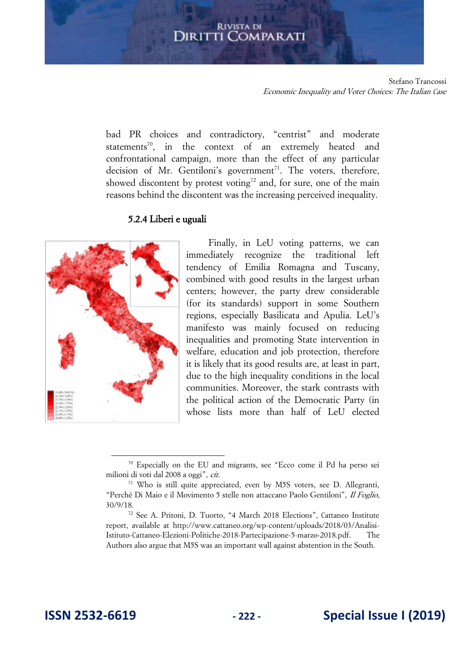# **DIRITTI COMPARATI**

Stefano Trancossi Economic Inequality and Voter Choices: The Italian Case

bad PR choices and contradictory, "centrist" and moderate statements<sup>70</sup>, in the context of an extremely heated and confrontational campaign, more than the effect of any particular decision of Mr. Gentiloni's government<sup>71</sup>. The voters, therefore, showed discontent by protest voting<sup>72</sup> and, for sure, one of the main reasons behind the discontent was the increasing perceived inequality.

## 5.2.4 Liberi e uguali



Finally, in LeU voting patterns, we can immediately recognize the traditional left tendency of Emilia Romagna and Tuscany, combined with good results in the largest urban centers; however, the party drew considerable (for its standards) support in some Southern regions, especially Basilicata and Apulia. LeU's manifesto was mainly focused on reducing inequalities and promoting State intervention in welfare, education and job protection, therefore it is likely that its good results are, at least in part, due to the high inequality conditions in the local communities. Moreover, the stark contrasts with the political action of the Democratic Party (in whose lists more than half of LeU elected

<sup>70</sup> Especially on the EU and migrants, see "Ecco come il Pd ha perso sei milioni di voti dal 2008 a oggi", cit.

<sup>&</sup>lt;sup>71</sup> Who is still quite appreciated, even by M5S voters, see D. Allegranti, "Perché Di Maio e il Movimento 5 stelle non attaccano Paolo Gentiloni", Il Foglio, 30/9/18.

<sup>72</sup> See A. Pritoni, D. Tuorto, "4 March 2018 Elections", Cattaneo Institute report, available at [http://www.cattaneo.org/wp-content/uploads/2018/03/Analisi-](http://www.cattaneo.org/wp-content/uploads/2018/03/Analisi-Istituto-Cattaneo-Elezioni-Politiche-2018-Partecipazione-5-marzo-2018.pdf)[Istituto-Cattaneo-Elezioni-Politiche-2018-Partecipazione-5-marzo-2018.pdf.](http://www.cattaneo.org/wp-content/uploads/2018/03/Analisi-Istituto-Cattaneo-Elezioni-Politiche-2018-Partecipazione-5-marzo-2018.pdf) The Authors also argue that M5S was an important wall against abstention in the South.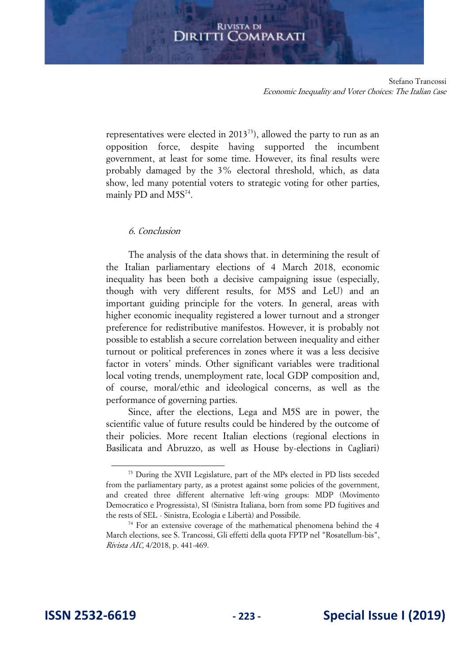Stefano Trancossi Economic Inequality and Voter Choices: The Italian Case

representatives were elected in 2013<sup>73</sup>), allowed the party to run as an opposition force, despite having supported the incumbent government, at least for some time. However, its final results were probably damaged by the 3% electoral threshold, which, as data show, led many potential voters to strategic voting for other parties, mainly PD and M5S<sup>74</sup>.

## 6. Conclusion

The analysis of the data shows that. in determining the result of the Italian parliamentary elections of 4 March 2018, economic inequality has been both a decisive campaigning issue (especially, though with very different results, for M5S and LeU) and an important guiding principle for the voters. In general, areas with higher economic inequality registered a lower turnout and a stronger preference for redistributive manifestos. However, it is probably not possible to establish a secure correlation between inequality and either turnout or political preferences in zones where it was a less decisive factor in voters' minds. Other significant variables were traditional local voting trends, unemployment rate, local GDP composition and, of course, moral/ethic and ideological concerns, as well as the performance of governing parties.

Since, after the elections, Lega and M5S are in power, the scientific value of future results could be hindered by the outcome of their policies. More recent Italian elections (regional elections in Basilicata and Abruzzo, as well as House by-elections in Cagliari)

<sup>73</sup> During the XVII Legislature, part of the MPs elected in PD lists seceded from the parliamentary party, as a protest against some policies of the government, and created three different alternative left-wing groups: MDP (Movimento Democratico e Progressista), SI (Sinistra Italiana, born from some PD fugitives and the rests of SEL - Sinistra, Ecologia e Libertà) and Possibile.

 $74$  For an extensive coverage of the mathematical phenomena behind the 4 March elections, see S. Trancossi, Gli effetti della quota FPTP nel "Rosatellum-bis", Rivista AIC, 4/2018, p. 441-469.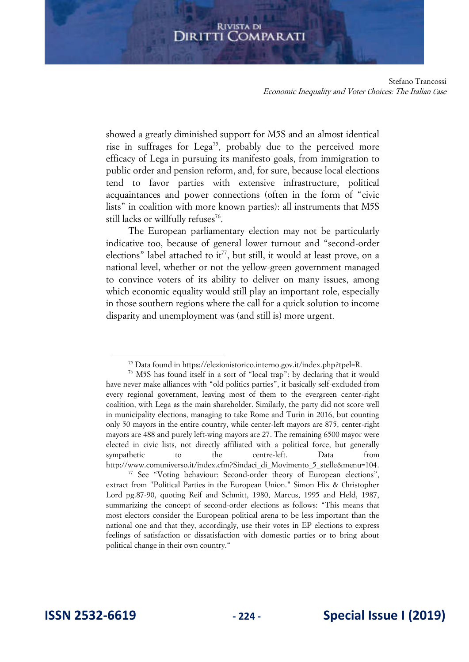Stefano Trancossi Economic Inequality and Voter Choices: The Italian Case

showed a greatly diminished support for M5S and an almost identical rise in suffrages for Lega<sup>75</sup>, probably due to the perceived more efficacy of Lega in pursuing its manifesto goals, from immigration to public order and pension reform, and, for sure, because local elections tend to favor parties with extensive infrastructure, political acquaintances and power connections (often in the form of "civic lists" in coalition with more known parties): all instruments that M5S still lacks or willfully refuses<sup>76</sup>.

The European parliamentary election may not be particularly indicative too, because of general lower turnout and "second-order elections" label attached to it<sup>77</sup>, but still, it would at least prove, on a national level, whether or not the yellow-green government managed to convince voters of its ability to deliver on many issues, among which economic equality would still play an important role, especially in those southern regions where the call for a quick solution to income disparity and unemployment was (and still is) more urgent.

<sup>75</sup> Data found in [https://elezionistorico.interno.gov.it/index.php?tpel=R.](https://elezionistorico.interno.gov.it/index.php?tpel=R) 

<sup>76</sup> M5S has found itself in a sort of "local trap": by declaring that it would have never make alliances with "old politics parties", it basically self-excluded from every regional government, leaving most of them to the evergreen center-right coalition, with Lega as the main shareholder. Similarly, the party did not score well in municipality elections, managing to take Rome and Turin in 2016, but counting only 50 mayors in the entire country, while center-left mayors are 875, center-right mayors are 488 and purely left-wing mayors are 27. The remaining 6500 mayor were elected in civic lists, not directly affiliated with a political force, but generally sympathetic to the centre-left. Data from [http://www.comuniverso.it/index.cfm?Sindaci\\_di\\_Movimento\\_5\\_stelle&menu=104.](http://www.comuniverso.it/index.cfm?Sindaci_di_Movimento_5_stelle&menu=104)

<sup>&</sup>lt;sup>77</sup> See "Voting behaviour: Second-order theory of European elections", extract from "Political Parties in the European Union." Simon Hix & Christopher Lord pg.87-90, quoting Reif and Schmitt, 1980, Marcus, 1995 and Held, 1987, summarizing the concept of second-order elections as follows: "This means that most electors consider the European political arena to be less important than the national one and that they, accordingly, use their votes in EP elections to express feelings of satisfaction or dissatisfaction with domestic parties or to bring about political change in their own country."